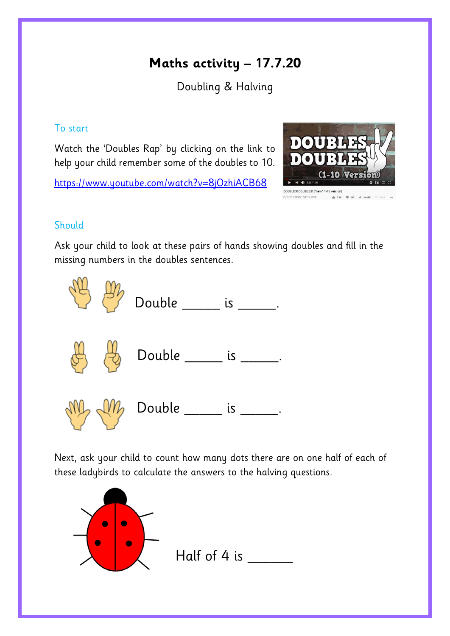## **Maths activity – 17.7.20**

Doubling & Halving

## To start

Watch the 'Doubles Rap' by clicking on the link to help your child remember some of the doubles to 10.

<https://www.youtube.com/watch?v=8jOzhiACB68>



## **Should**

Ask your child to look at these pairs of hands showing doubles and fill in the missing numbers in the doubles sentences.



Next, ask your child to count how many dots there are on one half of each of these ladybirds to calculate the answers to the halving questions.